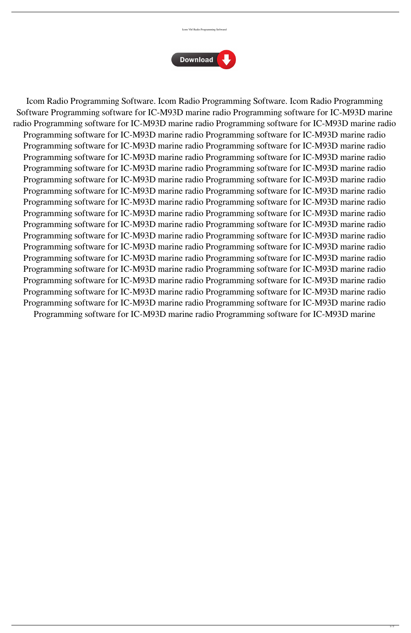



Icom Radio Programming Software. Icom Radio Programming Software. Icom Radio Programming Software Programming software for IC-M93D marine radio Programming software for IC-M93D marine radio Programming software for IC-M93D marine radio Programming software for IC-M93D marine radio Programming software for IC-M93D marine radio Programming software for IC-M93D marine radio Programming software for IC-M93D marine radio Programming software for IC-M93D marine radio Programming software for IC-M93D marine radio Programming software for IC-M93D marine radio Programming software for IC-M93D marine radio Programming software for IC-M93D marine radio Programming software for IC-M93D marine radio Programming software for IC-M93D marine radio Programming software for IC-M93D marine radio Programming software for IC-M93D marine radio Programming software for IC-M93D marine radio Programming software for IC-M93D marine radio Programming software for IC-M93D marine radio Programming software for IC-M93D marine radio Programming software for IC-M93D marine radio Programming software for IC-M93D marine radio Programming software for IC-M93D marine radio Programming software for IC-M93D marine radio Programming software for IC-M93D marine radio Programming software for IC-M93D marine radio Programming software for IC-M93D marine radio Programming software for IC-M93D marine radio Programming software for IC-M93D marine radio Programming software for IC-M93D marine radio Programming software for IC-M93D marine radio Programming software for IC-M93D marine radio Programming software for IC-M93D marine radio Programming software for IC-M93D marine radio Programming software for IC-M93D marine radio Programming software for IC-M93D marine radio Programming software for IC-M93D marine radio Programming software for IC-M93D marine